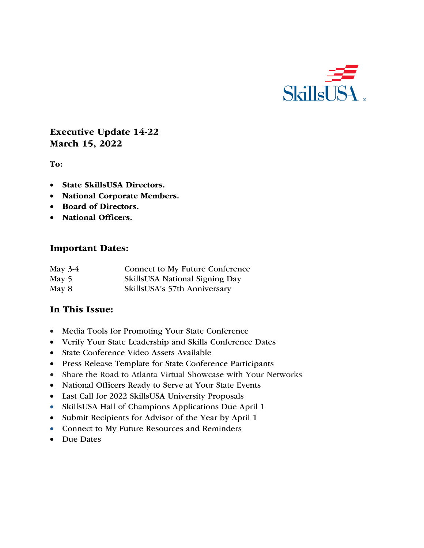

# Executive Update 14-22 March 15, 2022

To:

- State SkillsUSA Directors.
- National Corporate Members.
- Board of Directors.
- National Officers.

#### Important Dates:

| May $3-4$ | Connect to My Future Conference |  |  |
|-----------|---------------------------------|--|--|
| May 5     | SkillsUSA National Signing Day  |  |  |
| May 8     | SkillsUSA's 57th Anniversary    |  |  |

## In This Issue:

- Media Tools for Promoting Your State Conference
- Verify Your State Leadership and Skills Conference Dates
- State Conference Video Assets Available
- Press Release Template for State Conference Participants
- Share the Road to Atlanta Virtual Showcase with Your Networks
- National Officers Ready to Serve at Your State Events
- Last Call for 2022 SkillsUSA University Proposals
- SkillsUSA Hall of Champions Applications Due April 1
- Submit Recipients for Advisor of the Year by April 1
- Connect to My Future Resources and Reminders
- Due Dates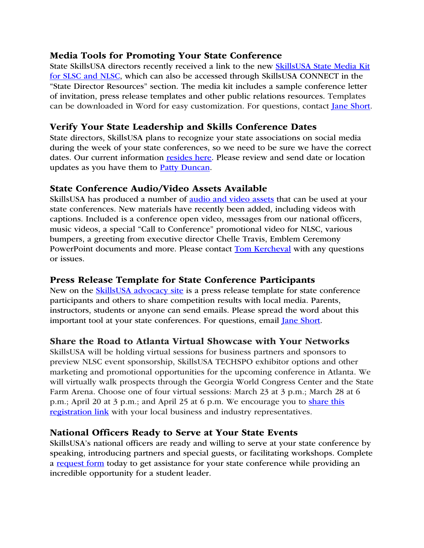## Media Tools for Promoting Your State Conference

State SkillsUSA directors recently received a link to the new SkillsUSA State Media Kit for SLSC and NLSC, which can also be accessed through SkillsUSA CONNECT in the "State Director Resources" section. The media kit includes a sample conference letter of invitation, press release templates and other public relations resources. Templates can be downloaded in Word for easy customization. For questions, contact *Jane Short*.

# Verify Your State Leadership and Skills Conference Dates

State directors, SkillsUSA plans to recognize your state associations on social media during the week of your state conferences, so we need to be sure we have the correct dates. Our current information resides here. Please review and send date or location updates as you have them to Patty Duncan.

## State Conference Audio/Video Assets Available

SkillsUSA has produced a number of audio and video assets that can be used at your state conferences. New materials have recently been added, including videos with captions. Included is a conference open video, messages from our national officers, music videos, a special "Call to Conference" promotional video for NLSC, various bumpers, a greeting from executive director Chelle Travis, Emblem Ceremony PowerPoint documents and more. Please contact **Tom Kercheval** with any questions or issues.

# Press Release Template for State Conference Participants

New on the SkillsUSA advocacy site is a press release template for state conference participants and others to share competition results with local media. Parents, instructors, students or anyone can send emails. Please spread the word about this important tool at your state conferences. For questions, email Jane Short.

## Share the Road to Atlanta Virtual Showcase with Your Networks

SkillsUSA will be holding virtual sessions for business partners and sponsors to preview NLSC event sponsorship, SkillsUSA TECHSPO exhibitor options and other marketing and promotional opportunities for the upcoming conference in Atlanta. We will virtually walk prospects through the Georgia World Congress Center and the State Farm Arena. Choose one of four virtual sessions: March 23 at 3 p.m.; March 28 at 6 p.m.; April 20 at 3 p.m.; and April 25 at 6 p.m. We encourage you to share this registration link with your local business and industry representatives.

## National Officers Ready to Serve at Your State Events

SkillsUSA's national officers are ready and willing to serve at your state conference by speaking, introducing partners and special guests, or facilitating workshops. Complete a request form today to get assistance for your state conference while providing an incredible opportunity for a student leader.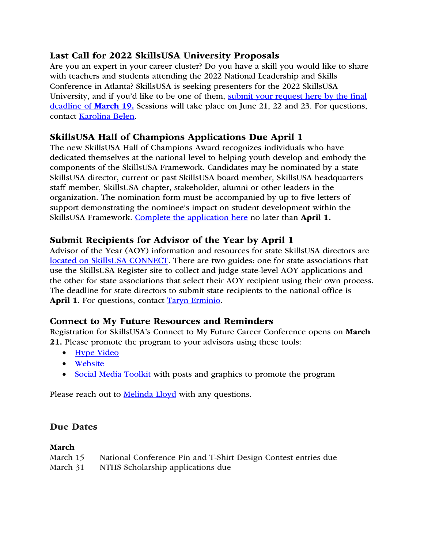# Last Call for 2022 SkillsUSA University Proposals

Are you an expert in your career cluster? Do you have a skill you would like to share with teachers and students attending the 2022 National Leadership and Skills Conference in Atlanta? SkillsUSA is seeking presenters for the 2022 SkillsUSA University, and if you'd like to be one of them, submit your request here by the final deadline of March 19. Sessions will take place on June 21, 22 and 23. For questions, contact Karolina Belen.

# SkillsUSA Hall of Champions Applications Due April 1

The new SkillsUSA Hall of Champions Award recognizes individuals who have dedicated themselves at the national level to helping youth develop and embody the components of the SkillsUSA Framework. Candidates may be nominated by a state SkillsUSA director, current or past SkillsUSA board member, SkillsUSA headquarters staff member, SkillsUSA chapter, stakeholder, alumni or other leaders in the organization. The nomination form must be accompanied by up to five letters of support demonstrating the nominee's impact on student development within the SkillsUSA Framework. Complete the application here no later than April 1.

# Submit Recipients for Advisor of the Year by April 1

Advisor of the Year (AOY) information and resources for state SkillsUSA directors are located on SkillsUSA CONNECT. There are two guides: one for state associations that use the SkillsUSA Register site to collect and judge state-level AOY applications and the other for state associations that select their AOY recipient using their own process. The deadline for state directors to submit state recipients to the national office is April 1. For questions, contact Taryn Erminio.

# Connect to My Future Resources and Reminders

Registration for SkillsUSA's Connect to My Future Career Conference opens on March 21. Please promote the program to your advisors using these tools:

- Hype Video
- Website
- Social Media Toolkit with posts and graphics to promote the program

Please reach out to **Melinda Lloyd** with any questions.

# Due Dates

#### March

| March 15 | National Conference Pin and T-Shirt Design Contest entries due |
|----------|----------------------------------------------------------------|
| March 31 | NTHS Scholarship applications due                              |